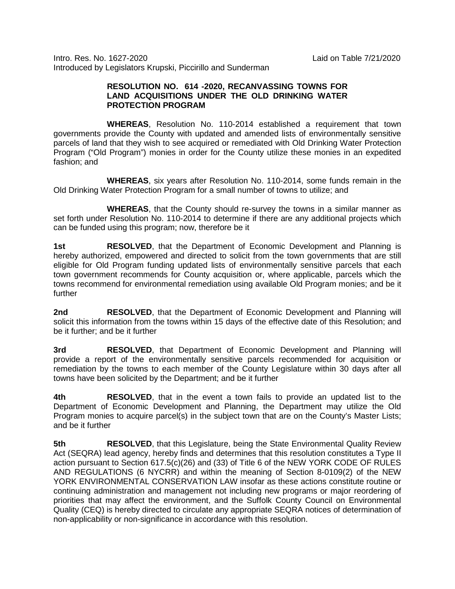Intro. Res. No. 1627-2020 Laid on Table 7/21/2020 Introduced by Legislators Krupski, Piccirillo and Sunderman

## **RESOLUTION NO. 614 -2020, RECANVASSING TOWNS FOR LAND ACQUISITIONS UNDER THE OLD DRINKING WATER PROTECTION PROGRAM**

**WHEREAS**, Resolution No. 110-2014 established a requirement that town governments provide the County with updated and amended lists of environmentally sensitive parcels of land that they wish to see acquired or remediated with Old Drinking Water Protection Program ("Old Program") monies in order for the County utilize these monies in an expedited fashion; and

**WHEREAS**, six years after Resolution No. 110-2014, some funds remain in the Old Drinking Water Protection Program for a small number of towns to utilize; and

**WHEREAS**, that the County should re-survey the towns in a similar manner as set forth under Resolution No. 110-2014 to determine if there are any additional projects which can be funded using this program; now, therefore be it

**1st RESOLVED**, that the Department of Economic Development and Planning is hereby authorized, empowered and directed to solicit from the town governments that are still eligible for Old Program funding updated lists of environmentally sensitive parcels that each town government recommends for County acquisition or, where applicable, parcels which the towns recommend for environmental remediation using available Old Program monies; and be it further

**2nd RESOLVED**, that the Department of Economic Development and Planning will solicit this information from the towns within 15 days of the effective date of this Resolution; and be it further; and be it further

**3rd RESOLVED**, that Department of Economic Development and Planning will provide a report of the environmentally sensitive parcels recommended for acquisition or remediation by the towns to each member of the County Legislature within 30 days after all towns have been solicited by the Department; and be it further

**4th RESOLVED**, that in the event a town fails to provide an updated list to the Department of Economic Development and Planning, the Department may utilize the Old Program monies to acquire parcel(s) in the subject town that are on the County's Master Lists; and be it further

**5th RESOLVED**, that this Legislature, being the State Environmental Quality Review Act (SEQRA) lead agency, hereby finds and determines that this resolution constitutes a Type II action pursuant to Section 617.5(c)(26) and (33) of Title 6 of the NEW YORK CODE OF RULES AND REGULATIONS (6 NYCRR) and within the meaning of Section 8-0109(2) of the NEW YORK ENVIRONMENTAL CONSERVATION LAW insofar as these actions constitute routine or continuing administration and management not including new programs or major reordering of priorities that may affect the environment, and the Suffolk County Council on Environmental Quality (CEQ) is hereby directed to circulate any appropriate SEQRA notices of determination of non-applicability or non-significance in accordance with this resolution.